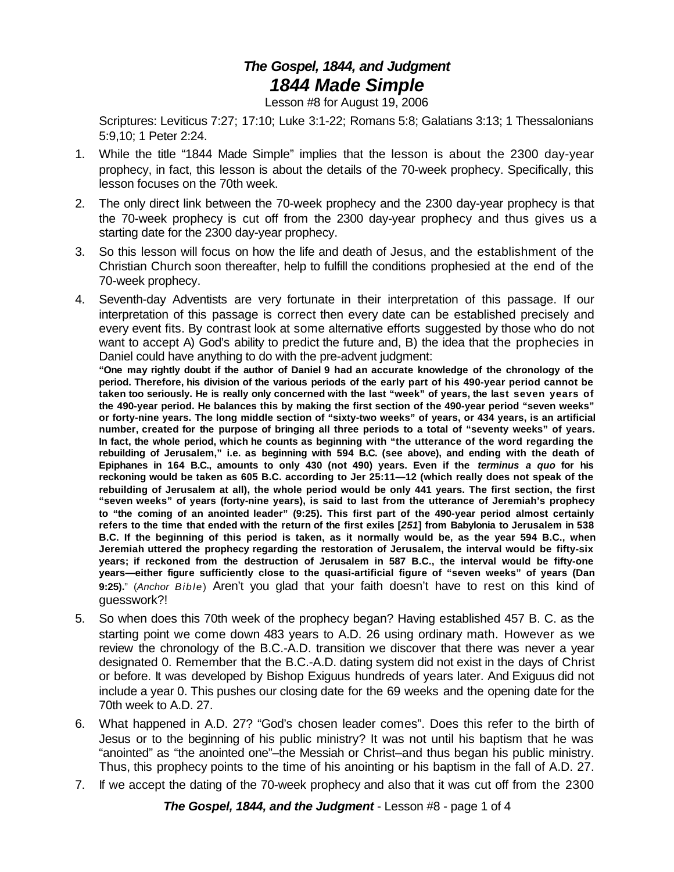## *The Gospel, 1844, and Judgment 1844 Made Simple*

Lesson #8 for August 19, 2006

Scriptures: Leviticus 7:27; 17:10; Luke 3:1-22; Romans 5:8; Galatians 3:13; 1 Thessalonians 5:9,10; 1 Peter 2:24.

- 1. While the title "1844 Made Simple" implies that the lesson is about the 2300 day-year prophecy, in fact, this lesson is about the details of the 70-week prophecy. Specifically, this lesson focuses on the 70th week.
- 2. The only direct link between the 70-week prophecy and the 2300 day-year prophecy is that the 70-week prophecy is cut off from the 2300 day-year prophecy and thus gives us a starting date for the 2300 day-year prophecy.
- 3. So this lesson will focus on how the life and death of Jesus, and the establishment of the Christian Church soon thereafter, help to fulfill the conditions prophesied at the end of the 70-week prophecy.
- 4. Seventh-day Adventists are very fortunate in their interpretation of this passage. If our interpretation of this passage is correct then every date can be established precisely and every event fits. By contrast look at some alternative efforts suggested by those who do not want to accept A) God's ability to predict the future and, B) the idea that the prophecies in Daniel could have anything to do with the pre-advent judgment:

**"One may rightly doubt if the author of Daniel 9 had an accurate knowledge of the chronology of the period. Therefore, his division of the various periods of the early part of his 490-year period cannot be taken too seriously. He is really only concerned with the last "week" of years, the last seven years of the 490-year period. He balances this by making the first section of the 490-year period "seven weeks" or forty-nine years. The long middle section of "sixty-two weeks" of years, or 434 years, is an artificial number, created for the purpose of bringing all three periods to a total of "seventy weeks" of years. In fact, the whole period, which he counts as beginning with "the utterance of the word regarding the rebuilding of Jerusalem," i.e. as beginning with 594 B.C. (see above), and ending with the death of Epiphanes in 164 B.C., amounts to only 430 (not 490) years. Even if the** *terminus a quo* **for his reckoning would be taken as 605 B.C. according to Jer 25:11—12 (which really does not speak of the rebuilding of Jerusalem at all), the whole period would be only 441 years. The first section, the first "seven weeks" of years (forty-nine years), is said to last from the utterance of Jeremiah's prophecy to "the coming of an anointed leader" (9:25). This first part of the 490-year period almost certainly** refers to the time that ended with the return of the first exiles [251] from Babylonia to Jerusalem in 538 **B.C. If the beginning of this period is taken, as it normally would be, as the year 594 B.C., when Jeremiah uttered the prophecy regarding the restoration of Jerusalem, the interval would be fifty-six years; if reckoned from the destruction of Jerusalem in 587 B.C., the interval would be fifty-one years—either figure sufficiently close to the quasi-artificial figure of "seven weeks" of years (Dan 9:25).**" (*Anchor Bible*) Aren't you glad that your faith doesn't have to rest on this kind of guesswork?!

- 5. So when does this 70th week of the prophecy began? Having established 457 B. C. as the starting point we come down 483 years to A.D. 26 using ordinary math. However as we review the chronology of the B.C.-A.D. transition we discover that there was never a year designated 0. Remember that the B.C.-A.D. dating system did not exist in the days of Christ or before. It was developed by Bishop Exiguus hundreds of years later. And Exiguus did not include a year 0. This pushes our closing date for the 69 weeks and the opening date for the 70th week to A.D. 27.
- 6. What happened in A.D. 27? "God's chosen leader comes". Does this refer to the birth of Jesus or to the beginning of his public ministry? It was not until his baptism that he was "anointed" as "the anointed one"–the Messiah or Christ–and thus began his public ministry. Thus, this prophecy points to the time of his anointing or his baptism in the fall of A.D. 27.
- 7. If we accept the dating of the 70-week prophecy and also that it was cut off from the 2300

*The Gospel, 1844, and the Judgment* - Lesson #8 - page 1 of 4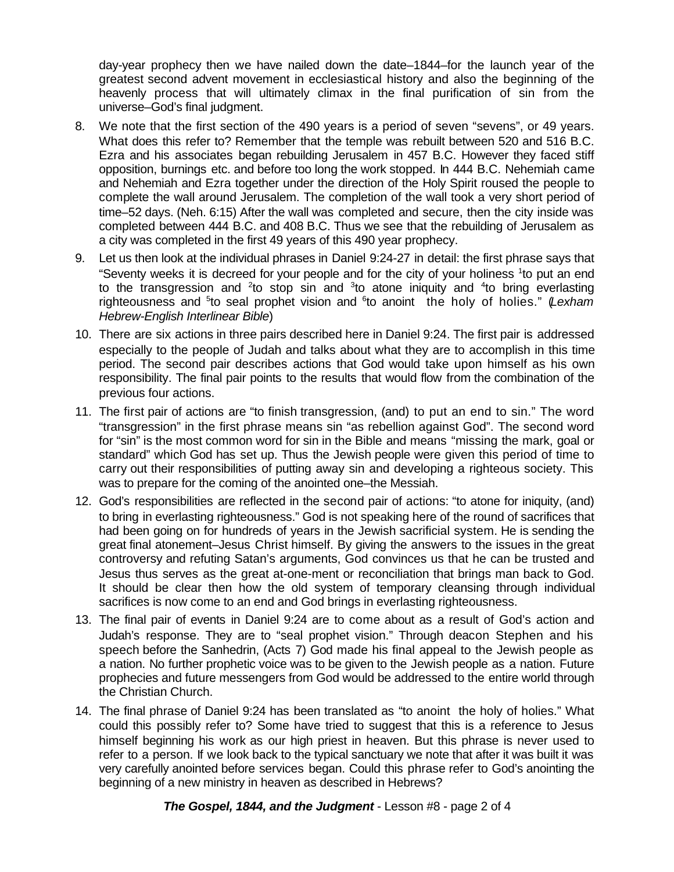day-year prophecy then we have nailed down the date–1844–for the launch year of the greatest second advent movement in ecclesiastical history and also the beginning of the heavenly process that will ultimately climax in the final purification of sin from the universe–God's final judgment.

- 8. We note that the first section of the 490 years is a period of seven "sevens", or 49 years. What does this refer to? Remember that the temple was rebuilt between 520 and 516 B.C. Ezra and his associates began rebuilding Jerusalem in 457 B.C. However they faced stiff opposition, burnings etc. and before too long the work stopped. In 444 B.C. Nehemiah came and Nehemiah and Ezra together under the direction of the Holy Spirit roused the people to complete the wall around Jerusalem. The completion of the wall took a very short period of time–52 days. (Neh. 6:15) After the wall was completed and secure, then the city inside was completed between 444 B.C. and 408 B.C. Thus we see that the rebuilding of Jerusalem as a city was completed in the first 49 years of this 490 year prophecy.
- 9. Let us then look at the individual phrases in Daniel 9:24-27 in detail: the first phrase says that "Seventy weeks it is decreed for your people and for the city of your holiness <sup>1</sup>to put an end to the transgression and <sup>2</sup>to stop sin and  $3$ to atone iniquity and  $4$ to bring everlasting righteousness and <sup>5</sup>to seal prophet vision and <sup>6</sup>to anoint the holy of holies." (Lexham *Hebrew-English Interlinear Bible*)
- 10. There are six actions in three pairs described here in Daniel 9:24. The first pair is addressed especially to the people of Judah and talks about what they are to accomplish in this time period. The second pair describes actions that God would take upon himself as his own responsibility. The final pair points to the results that would flow from the combination of the previous four actions.
- 11. The first pair of actions are "to finish transgression, (and) to put an end to sin." The word "transgression" in the first phrase means sin "as rebellion against God". The second word for "sin" is the most common word for sin in the Bible and means "missing the mark, goal or standard" which God has set up. Thus the Jewish people were given this period of time to carry out their responsibilities of putting away sin and developing a righteous society. This was to prepare for the coming of the anointed one–the Messiah.
- 12. God's responsibilities are reflected in the second pair of actions: "to atone for iniquity, (and) to bring in everlasting righteousness." God is not speaking here of the round of sacrifices that had been going on for hundreds of years in the Jewish sacrificial system. He is sending the great final atonement–Jesus Christ himself. By giving the answers to the issues in the great controversy and refuting Satan's arguments, God convinces us that he can be trusted and Jesus thus serves as the great at-one-ment or reconciliation that brings man back to God. It should be clear then how the old system of temporary cleansing through individual sacrifices is now come to an end and God brings in everlasting righteousness.
- 13. The final pair of events in Daniel 9:24 are to come about as a result of God's action and Judah's response. They are to "seal prophet vision." Through deacon Stephen and his speech before the Sanhedrin, (Acts 7) God made his final appeal to the Jewish people as a nation. No further prophetic voice was to be given to the Jewish people as a nation. Future prophecies and future messengers from God would be addressed to the entire world through the Christian Church.
- 14. The final phrase of Daniel 9:24 has been translated as "to anoint the holy of holies." What could this possibly refer to? Some have tried to suggest that this is a reference to Jesus himself beginning his work as our high priest in heaven. But this phrase is never used to refer to a person. If we look back to the typical sanctuary we note that after it was built it was very carefully anointed before services began. Could this phrase refer to God's anointing the beginning of a new ministry in heaven as described in Hebrews?

*The Gospel, 1844, and the Judgment* - Lesson #8 - page 2 of 4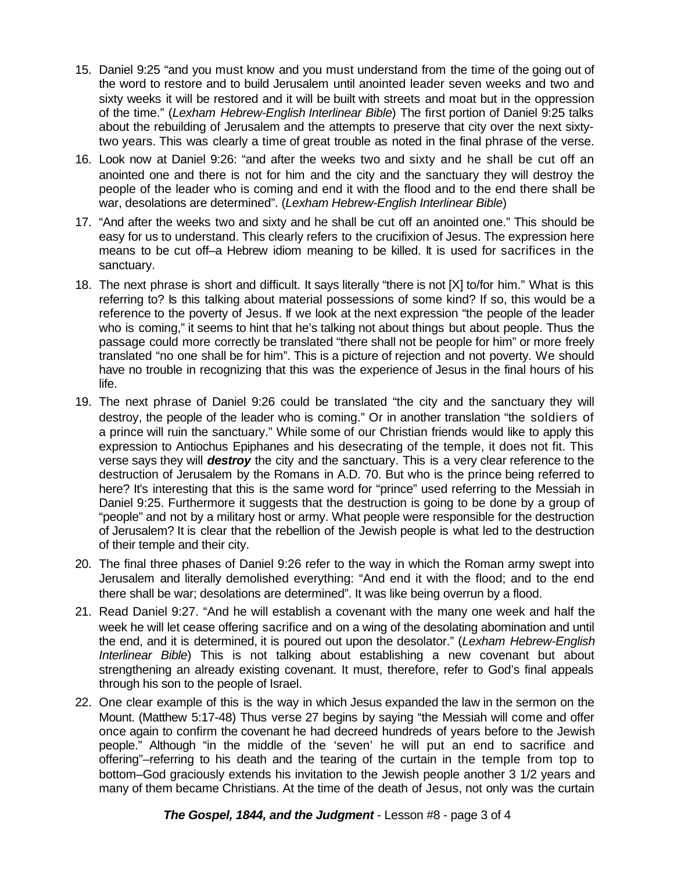- 15. Daniel 9:25 "and you must know and you must understand from the time of the going out of the word to restore and to build Jerusalem until anointed leader seven weeks and two and sixty weeks it will be restored and it will be built with streets and moat but in the oppression of the time." (*Lexham Hebrew-English Interlinear Bible*) The first portion of Daniel 9:25 talks about the rebuilding of Jerusalem and the attempts to preserve that city over the next sixtytwo years. This was clearly a time of great trouble as noted in the final phrase of the verse.
- 16. Look now at Daniel 9:26: "and after the weeks two and sixty and he shall be cut off an anointed one and there is not for him and the city and the sanctuary they will destroy the people of the leader who is coming and end it with the flood and to the end there shall be war, desolations are determined". (*Lexham Hebrew-English Interlinear Bible*)
- 17. "And after the weeks two and sixty and he shall be cut off an anointed one." This should be easy for us to understand. This clearly refers to the crucifixion of Jesus. The expression here means to be cut off–a Hebrew idiom meaning to be killed. It is used for sacrifices in the sanctuary.
- 18. The next phrase is short and difficult. It says literally "there is not [X] to/for him." What is this referring to? Is this talking about material possessions of some kind? If so, this would be a reference to the poverty of Jesus. If we look at the next expression "the people of the leader who is coming," it seems to hint that he's talking not about things but about people. Thus the passage could more correctly be translated "there shall not be people for him" or more freely translated "no one shall be for him". This is a picture of rejection and not poverty. We should have no trouble in recognizing that this was the experience of Jesus in the final hours of his life.
- 19. The next phrase of Daniel 9:26 could be translated "the city and the sanctuary they will destroy, the people of the leader who is coming." Or in another translation "the soldiers of a prince will ruin the sanctuary." While some of our Christian friends would like to apply this expression to Antiochus Epiphanes and his desecrating of the temple, it does not fit. This verse says they will *destroy* the city and the sanctuary. This is a very clear reference to the destruction of Jerusalem by the Romans in A.D. 70. But who is the prince being referred to here? It's interesting that this is the same word for "prince" used referring to the Messiah in Daniel 9:25. Furthermore it suggests that the destruction is going to be done by a group of "people" and not by a military host or army. What people were responsible for the destruction of Jerusalem? It is clear that the rebellion of the Jewish people is what led to the destruction of their temple and their city.
- 20. The final three phases of Daniel 9:26 refer to the way in which the Roman army swept into Jerusalem and literally demolished everything: "And end it with the flood; and to the end there shall be war; desolations are determined". It was like being overrun by a flood.
- 21. Read Daniel 9:27. "And he will establish a covenant with the many one week and half the week he will let cease offering sacrifice and on a wing of the desolating abomination and until the end, and it is determined, it is poured out upon the desolator." (*Lexham Hebrew-English Interlinear Bible*) This is not talking about establishing a new covenant but about strengthening an already existing covenant. It must, therefore, refer to God's final appeals through his son to the people of Israel.
- 22. One clear example of this is the way in which Jesus expanded the law in the sermon on the Mount. (Matthew 5:17-48) Thus verse 27 begins by saying "the Messiah will come and offer once again to confirm the covenant he had decreed hundreds of years before to the Jewish people." Although "in the middle of the 'seven' he will put an end to sacrifice and offering"–referring to his death and the tearing of the curtain in the temple from top to bottom–God graciously extends his invitation to the Jewish people another 3 1/2 years and many of them became Christians. At the time of the death of Jesus, not only was the curtain